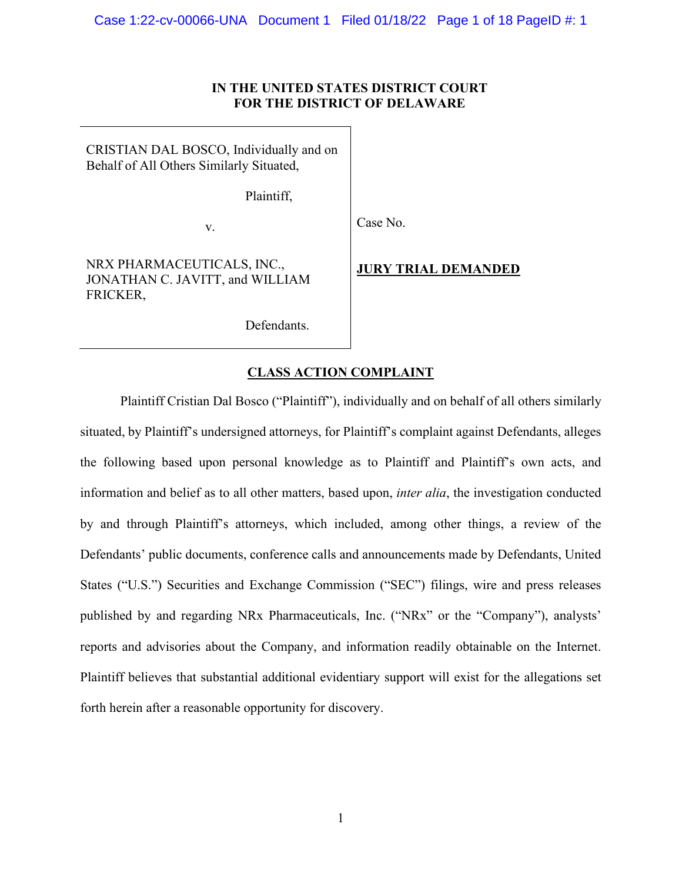# **IN THE UNITED STATES DISTRICT COURT FOR THE DISTRICT OF DELAWARE**

CRISTIAN DAL BOSCO, Individually and on Behalf of All Others Similarly Situated,

Plaintiff,

v.

Case No.

NRX PHARMACEUTICALS, INC., JONATHAN C. JAVITT, and WILLIAM FRICKER,

**JURY TRIAL DEMANDED**

Defendants.

# **CLASS ACTION COMPLAINT**

Plaintiff Cristian Dal Bosco ("Plaintiff"), individually and on behalf of all others similarly situated, by Plaintiff's undersigned attorneys, for Plaintiff's complaint against Defendants, alleges the following based upon personal knowledge as to Plaintiff and Plaintiff's own acts, and information and belief as to all other matters, based upon, *inter alia*, the investigation conducted by and through Plaintiff's attorneys, which included, among other things, a review of the Defendants' public documents, conference calls and announcements made by Defendants, United States ("U.S.") Securities and Exchange Commission ("SEC") filings, wire and press releases published by and regarding NRx Pharmaceuticals, Inc. ("NRx" or the "Company"), analysts' reports and advisories about the Company, and information readily obtainable on the Internet. Plaintiff believes that substantial additional evidentiary support will exist for the allegations set forth herein after a reasonable opportunity for discovery.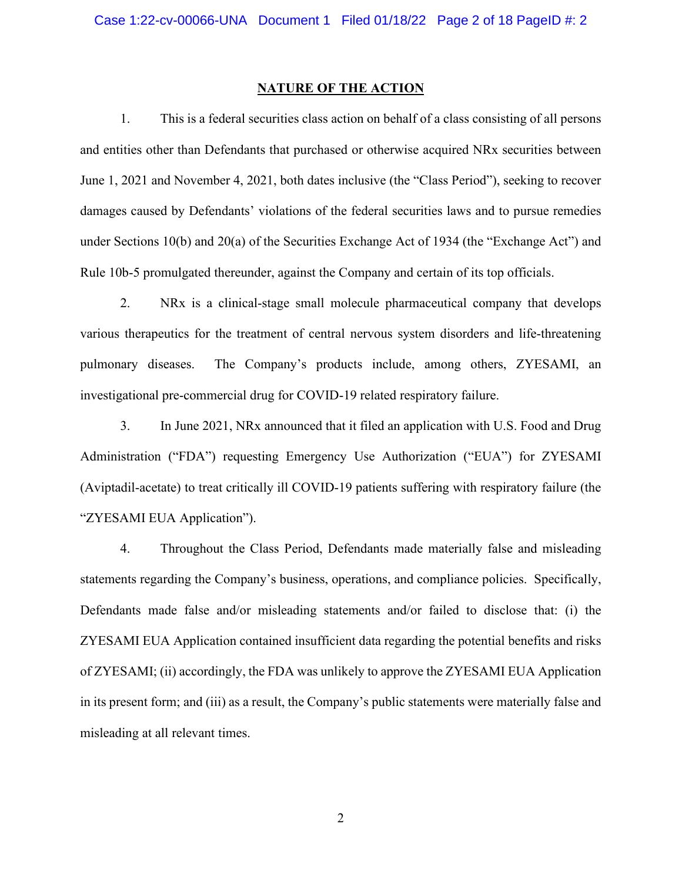#### **NATURE OF THE ACTION**

1. This is a federal securities class action on behalf of a class consisting of all persons and entities other than Defendants that purchased or otherwise acquired NRx securities between June 1, 2021 and November 4, 2021, both dates inclusive (the "Class Period"), seeking to recover damages caused by Defendants' violations of the federal securities laws and to pursue remedies under Sections 10(b) and 20(a) of the Securities Exchange Act of 1934 (the "Exchange Act") and Rule 10b-5 promulgated thereunder, against the Company and certain of its top officials.

2. NRx is a clinical-stage small molecule pharmaceutical company that develops various therapeutics for the treatment of central nervous system disorders and life-threatening pulmonary diseases. The Company's products include, among others, ZYESAMI, an investigational pre-commercial drug for COVID-19 related respiratory failure.

3. In June 2021, NRx announced that it filed an application with U.S. Food and Drug Administration ("FDA") requesting Emergency Use Authorization ("EUA") for ZYESAMI (Aviptadil-acetate) to treat critically ill COVID-19 patients suffering with respiratory failure (the "ZYESAMI EUA Application").

4. Throughout the Class Period, Defendants made materially false and misleading statements regarding the Company's business, operations, and compliance policies. Specifically, Defendants made false and/or misleading statements and/or failed to disclose that: (i) the ZYESAMI EUA Application contained insufficient data regarding the potential benefits and risks of ZYESAMI; (ii) accordingly, the FDA was unlikely to approve the ZYESAMI EUA Application in its present form; and (iii) as a result, the Company's public statements were materially false and misleading at all relevant times.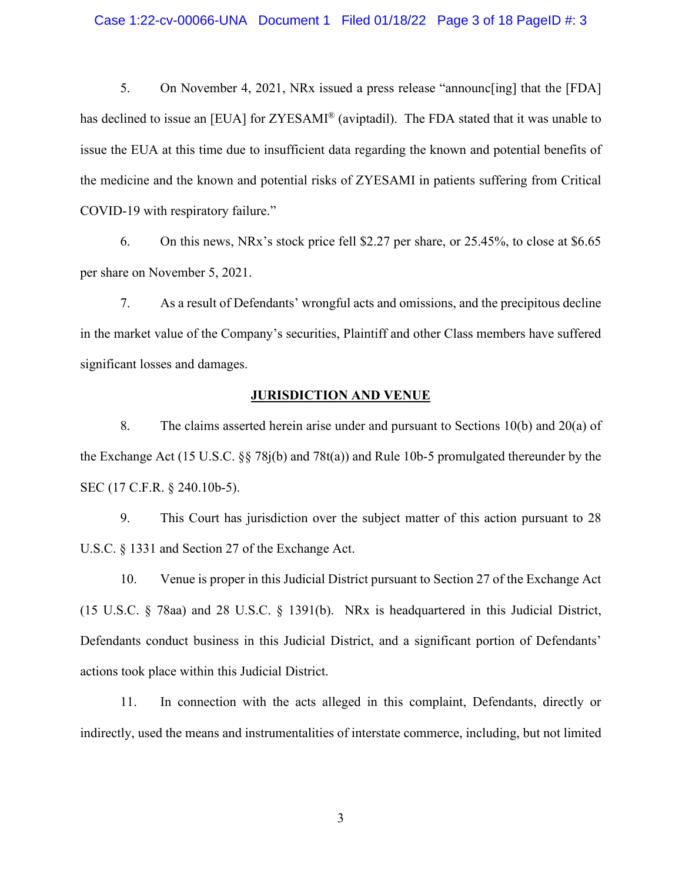#### Case 1:22-cv-00066-UNA Document 1 Filed 01/18/22 Page 3 of 18 PageID #: 3

5. On November 4, 2021, NRx issued a press release "announc[ing] that the [FDA] has declined to issue an [EUA] for ZYESAMI<sup>®</sup> (aviptadil). The FDA stated that it was unable to issue the EUA at this time due to insufficient data regarding the known and potential benefits of the medicine and the known and potential risks of ZYESAMI in patients suffering from Critical COVID-19 with respiratory failure."

6. On this news, NRx's stock price fell \$2.27 per share, or 25.45%, to close at \$6.65 per share on November 5, 2021.

7. As a result of Defendants' wrongful acts and omissions, and the precipitous decline in the market value of the Company's securities, Plaintiff and other Class members have suffered significant losses and damages.

#### **JURISDICTION AND VENUE**

8. The claims asserted herein arise under and pursuant to Sections 10(b) and 20(a) of the Exchange Act (15 U.S.C. §§ 78j(b) and 78t(a)) and Rule 10b-5 promulgated thereunder by the SEC (17 C.F.R. § 240.10b-5).

9. This Court has jurisdiction over the subject matter of this action pursuant to 28 U.S.C. § 1331 and Section 27 of the Exchange Act.

10. Venue is proper in this Judicial District pursuant to Section 27 of the Exchange Act (15 U.S.C. § 78aa) and 28 U.S.C. § 1391(b). NRx is headquartered in this Judicial District, Defendants conduct business in this Judicial District, and a significant portion of Defendants' actions took place within this Judicial District.

11. In connection with the acts alleged in this complaint, Defendants, directly or indirectly, used the means and instrumentalities of interstate commerce, including, but not limited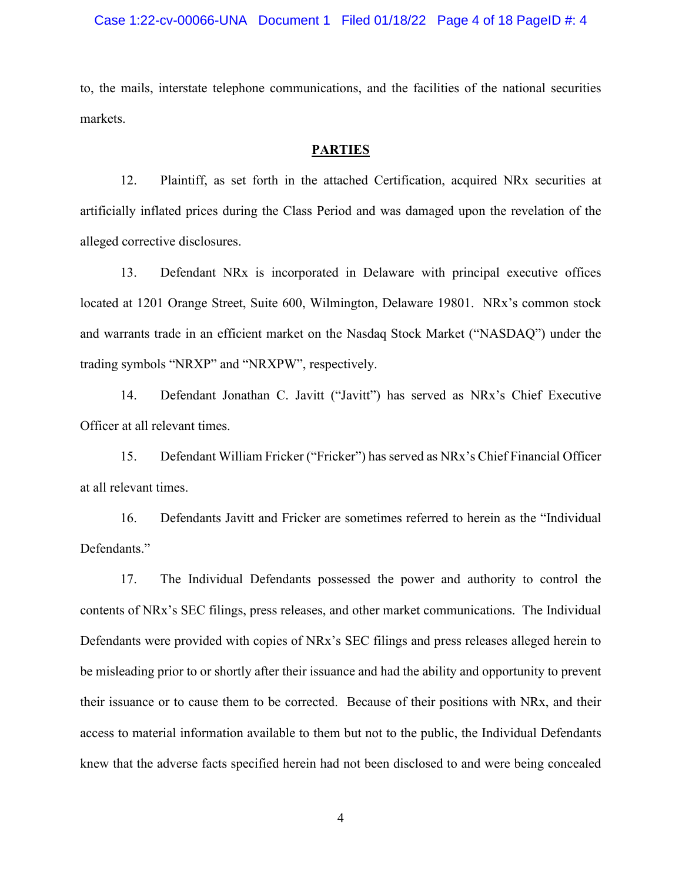#### Case 1:22-cv-00066-UNA Document 1 Filed 01/18/22 Page 4 of 18 PageID #: 4

to, the mails, interstate telephone communications, and the facilities of the national securities markets.

### **PARTIES**

12. Plaintiff, as set forth in the attached Certification, acquired NRx securities at artificially inflated prices during the Class Period and was damaged upon the revelation of the alleged corrective disclosures.

13. Defendant NRx is incorporated in Delaware with principal executive offices located at 1201 Orange Street, Suite 600, Wilmington, Delaware 19801. NRx's common stock and warrants trade in an efficient market on the Nasdaq Stock Market ("NASDAQ") under the trading symbols "NRXP" and "NRXPW", respectively.

14. Defendant Jonathan C. Javitt ("Javitt") has served as NRx's Chief Executive Officer at all relevant times.

15. Defendant William Fricker ("Fricker") has served as NRx's Chief Financial Officer at all relevant times.

16. Defendants Javitt and Fricker are sometimes referred to herein as the "Individual Defendants."

17. The Individual Defendants possessed the power and authority to control the contents of NRx's SEC filings, press releases, and other market communications. The Individual Defendants were provided with copies of NRx's SEC filings and press releases alleged herein to be misleading prior to or shortly after their issuance and had the ability and opportunity to prevent their issuance or to cause them to be corrected. Because of their positions with NRx, and their access to material information available to them but not to the public, the Individual Defendants knew that the adverse facts specified herein had not been disclosed to and were being concealed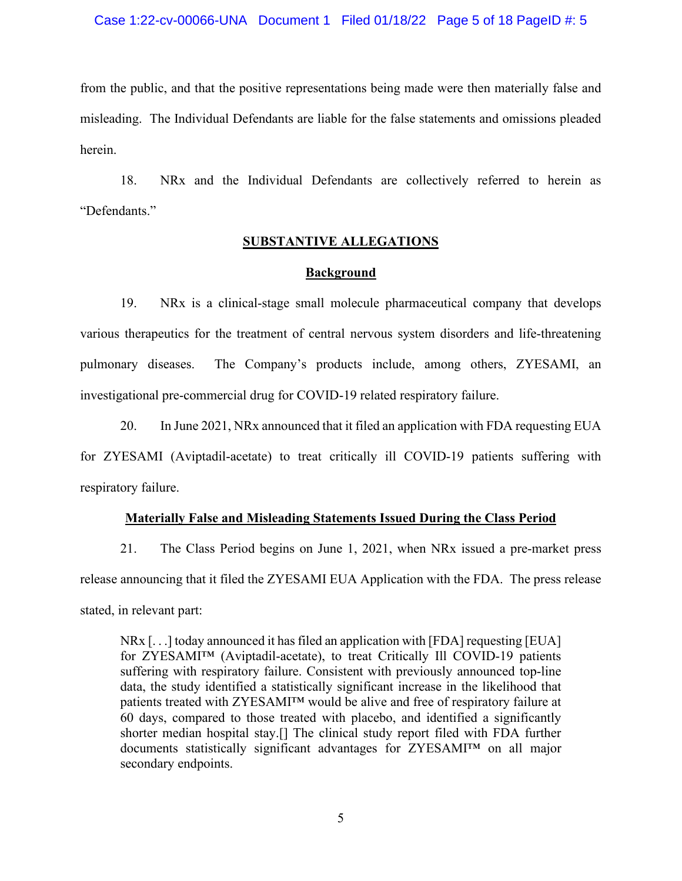#### Case 1:22-cv-00066-UNA Document 1 Filed 01/18/22 Page 5 of 18 PageID #: 5

from the public, and that the positive representations being made were then materially false and misleading. The Individual Defendants are liable for the false statements and omissions pleaded herein.

18. NRx and the Individual Defendants are collectively referred to herein as "Defendants."

### **SUBSTANTIVE ALLEGATIONS**

#### **Background**

19. NRx is a clinical-stage small molecule pharmaceutical company that develops various therapeutics for the treatment of central nervous system disorders and life-threatening pulmonary diseases. The Company's products include, among others, ZYESAMI, an investigational pre-commercial drug for COVID-19 related respiratory failure.

20. In June 2021, NRx announced that it filed an application with FDA requesting EUA for ZYESAMI (Aviptadil-acetate) to treat critically ill COVID-19 patients suffering with respiratory failure.

#### **Materially False and Misleading Statements Issued During the Class Period**

21. The Class Period begins on June 1, 2021, when NRx issued a pre-market press release announcing that it filed the ZYESAMI EUA Application with the FDA. The press release stated, in relevant part:

NRx [. . .] today announced it has filed an application with [FDA] requesting [EUA] for ZYESAMI™ (Aviptadil-acetate), to treat Critically Ill COVID-19 patients suffering with respiratory failure. Consistent with previously announced top-line data, the study identified a statistically significant increase in the likelihood that patients treated with ZYESAMI™ would be alive and free of respiratory failure at 60 days, compared to those treated with placebo, and identified a significantly shorter median hospital stay.[] The clinical study report filed with FDA further documents statistically significant advantages for ZYESAMI™ on all major secondary endpoints.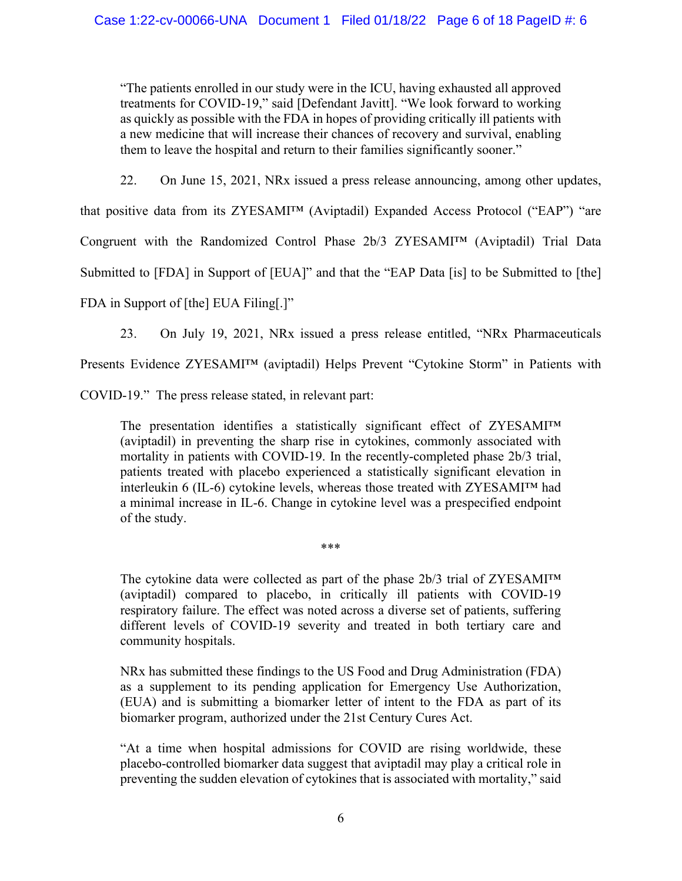"The patients enrolled in our study were in the ICU, having exhausted all approved treatments for COVID-19," said [Defendant Javitt]. "We look forward to working as quickly as possible with the FDA in hopes of providing critically ill patients with a new medicine that will increase their chances of recovery and survival, enabling them to leave the hospital and return to their families significantly sooner."

22. On June 15, 2021, NRx issued a press release announcing, among other updates,

that positive data from its ZYESAMI™ (Aviptadil) Expanded Access Protocol ("EAP") "are

Congruent with the Randomized Control Phase 2b/3 ZYESAMI™ (Aviptadil) Trial Data

Submitted to [FDA] in Support of [EUA]" and that the "EAP Data [is] to be Submitted to [the]

FDA in Support of [the] EUA Filing[.]"

23. On July 19, 2021, NRx issued a press release entitled, "NRx Pharmaceuticals

Presents Evidence ZYESAMI™ (aviptadil) Helps Prevent "Cytokine Storm" in Patients with

COVID-19." The press release stated, in relevant part:

The presentation identifies a statistically significant effect of ZYESAMI™ (aviptadil) in preventing the sharp rise in cytokines, commonly associated with mortality in patients with COVID-19. In the recently-completed phase 2b/3 trial, patients treated with placebo experienced a statistically significant elevation in interleukin 6 (IL-6) cytokine levels, whereas those treated with ZYESAMI™ had a minimal increase in IL-6. Change in cytokine level was a prespecified endpoint of the study.

The cytokine data were collected as part of the phase 2b/3 trial of ZYESAMI™ (aviptadil) compared to placebo, in critically ill patients with COVID-19

\*\*\*

respiratory failure. The effect was noted across a diverse set of patients, suffering different levels of COVID-19 severity and treated in both tertiary care and community hospitals.

NRx has submitted these findings to the US Food and Drug Administration (FDA) as a supplement to its pending application for Emergency Use Authorization, (EUA) and is submitting a biomarker letter of intent to the FDA as part of its biomarker program, authorized under the 21st Century Cures Act.

"At a time when hospital admissions for COVID are rising worldwide, these placebo-controlled biomarker data suggest that aviptadil may play a critical role in preventing the sudden elevation of cytokines that is associated with mortality," said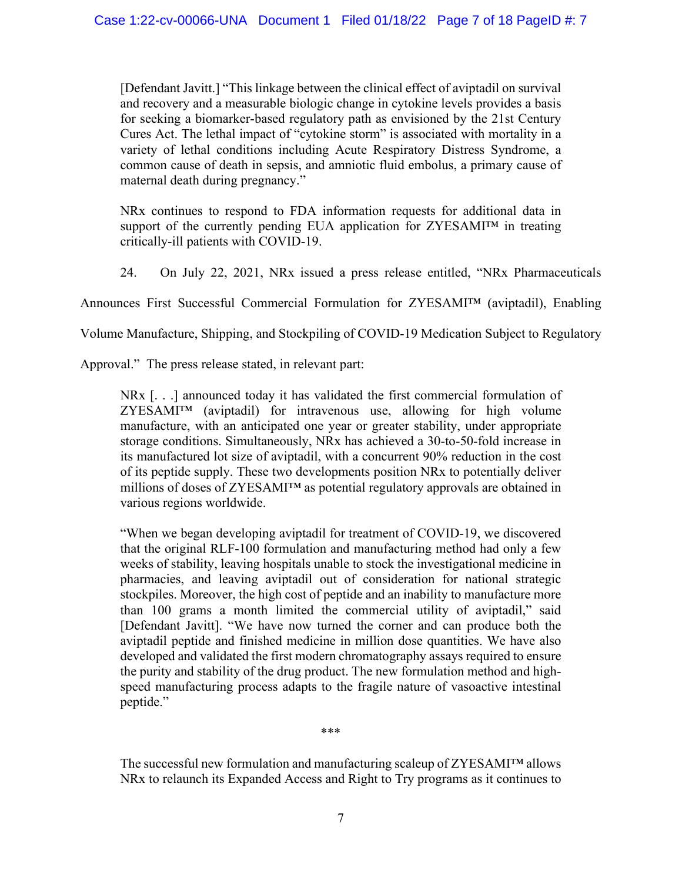[Defendant Javitt.] "This linkage between the clinical effect of aviptadil on survival and recovery and a measurable biologic change in cytokine levels provides a basis for seeking a biomarker-based regulatory path as envisioned by the 21st Century Cures Act. The lethal impact of "cytokine storm" is associated with mortality in a variety of lethal conditions including Acute Respiratory Distress Syndrome, a common cause of death in sepsis, and amniotic fluid embolus, a primary cause of maternal death during pregnancy."

NRx continues to respond to FDA information requests for additional data in support of the currently pending EUA application for ZYESAMI™ in treating critically-ill patients with COVID-19.

24. On July 22, 2021, NRx issued a press release entitled, "NRx Pharmaceuticals

Announces First Successful Commercial Formulation for ZYESAMI™ (aviptadil), Enabling

Volume Manufacture, Shipping, and Stockpiling of COVID-19 Medication Subject to Regulatory

Approval." The press release stated, in relevant part:

NRx [. . .] announced today it has validated the first commercial formulation of ZYESAMI™ (aviptadil) for intravenous use, allowing for high volume manufacture, with an anticipated one year or greater stability, under appropriate storage conditions. Simultaneously, NRx has achieved a 30-to-50-fold increase in its manufactured lot size of aviptadil, with a concurrent 90% reduction in the cost of its peptide supply. These two developments position NRx to potentially deliver millions of doses of ZYESAMI™ as potential regulatory approvals are obtained in various regions worldwide.

"When we began developing aviptadil for treatment of COVID-19, we discovered that the original RLF-100 formulation and manufacturing method had only a few weeks of stability, leaving hospitals unable to stock the investigational medicine in pharmacies, and leaving aviptadil out of consideration for national strategic stockpiles. Moreover, the high cost of peptide and an inability to manufacture more than 100 grams a month limited the commercial utility of aviptadil," said [Defendant Javitt]. "We have now turned the corner and can produce both the aviptadil peptide and finished medicine in million dose quantities. We have also developed and validated the first modern chromatography assays required to ensure the purity and stability of the drug product. The new formulation method and highspeed manufacturing process adapts to the fragile nature of vasoactive intestinal peptide."

\*\*\*

The successful new formulation and manufacturing scaleup of ZYESAMI™ allows NRx to relaunch its Expanded Access and Right to Try programs as it continues to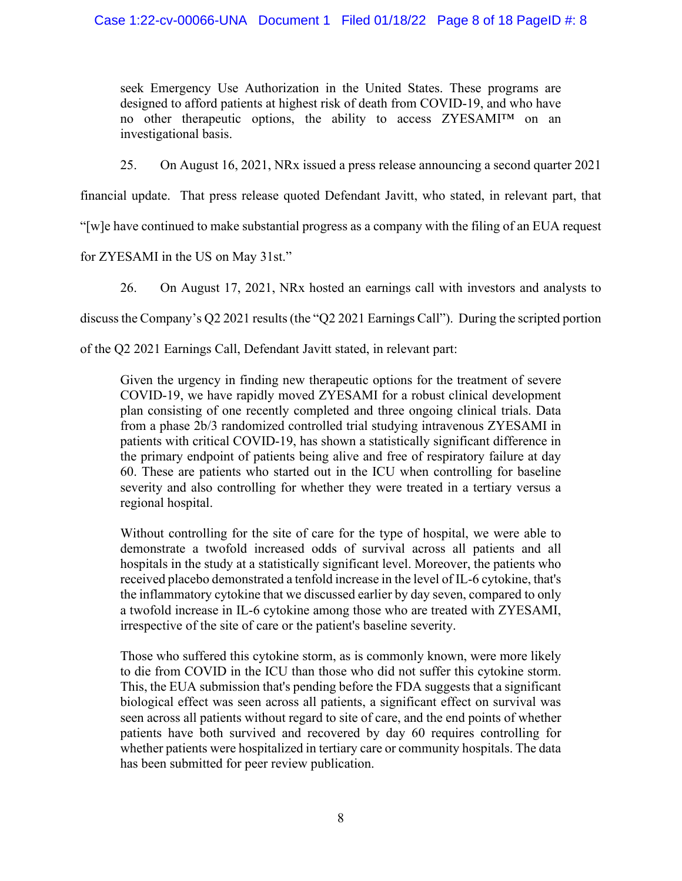seek Emergency Use Authorization in the United States. These programs are designed to afford patients at highest risk of death from COVID-19, and who have no other therapeutic options, the ability to access ZYESAMI™ on an investigational basis.

25. On August 16, 2021, NRx issued a press release announcing a second quarter 2021

financial update. That press release quoted Defendant Javitt, who stated, in relevant part, that

"[w]e have continued to make substantial progress as a company with the filing of an EUA request

for ZYESAMI in the US on May 31st."

26. On August 17, 2021, NRx hosted an earnings call with investors and analysts to

discuss the Company's Q2 2021 results (the "Q2 2021 Earnings Call"). During the scripted portion

of the Q2 2021 Earnings Call, Defendant Javitt stated, in relevant part:

Given the urgency in finding new therapeutic options for the treatment of severe COVID-19, we have rapidly moved ZYESAMI for a robust clinical development plan consisting of one recently completed and three ongoing clinical trials. Data from a phase 2b/3 randomized controlled trial studying intravenous ZYESAMI in patients with critical COVID-19, has shown a statistically significant difference in the primary endpoint of patients being alive and free of respiratory failure at day 60. These are patients who started out in the ICU when controlling for baseline severity and also controlling for whether they were treated in a tertiary versus a regional hospital.

Without controlling for the site of care for the type of hospital, we were able to demonstrate a twofold increased odds of survival across all patients and all hospitals in the study at a statistically significant level. Moreover, the patients who received placebo demonstrated a tenfold increase in the level of IL-6 cytokine, that's the inflammatory cytokine that we discussed earlier by day seven, compared to only a twofold increase in IL-6 cytokine among those who are treated with ZYESAMI, irrespective of the site of care or the patient's baseline severity.

Those who suffered this cytokine storm, as is commonly known, were more likely to die from COVID in the ICU than those who did not suffer this cytokine storm. This, the EUA submission that's pending before the FDA suggests that a significant biological effect was seen across all patients, a significant effect on survival was seen across all patients without regard to site of care, and the end points of whether patients have both survived and recovered by day 60 requires controlling for whether patients were hospitalized in tertiary care or community hospitals. The data has been submitted for peer review publication.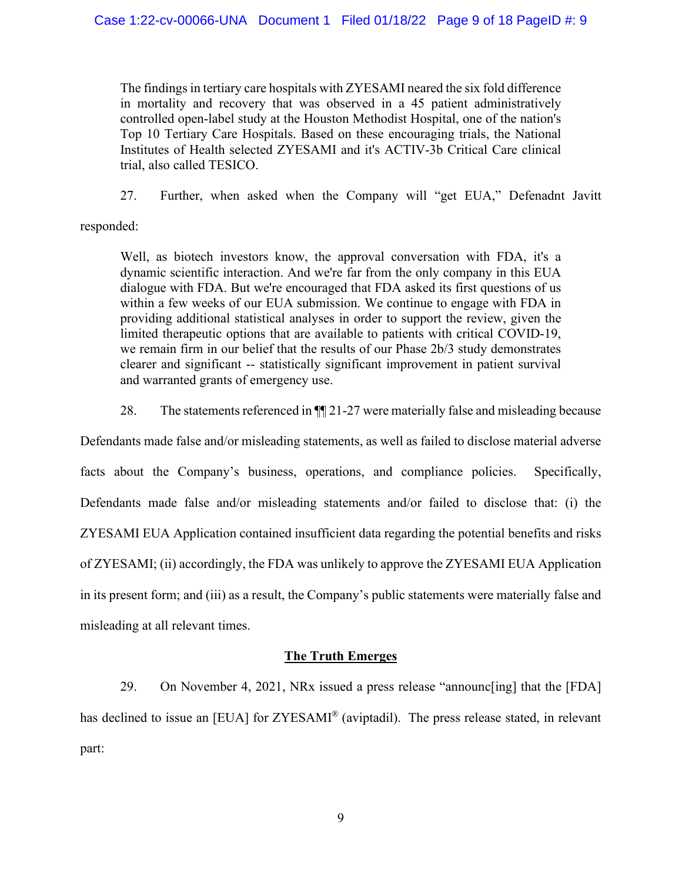The findings in tertiary care hospitals with ZYESAMI neared the six fold difference in mortality and recovery that was observed in a 45 patient administratively controlled open-label study at the Houston Methodist Hospital, one of the nation's Top 10 Tertiary Care Hospitals. Based on these encouraging trials, the National Institutes of Health selected ZYESAMI and it's ACTIV-3b Critical Care clinical trial, also called TESICO.

27. Further, when asked when the Company will "get EUA," Defenadnt Javitt

responded:

Well, as biotech investors know, the approval conversation with FDA, it's a dynamic scientific interaction. And we're far from the only company in this EUA dialogue with FDA. But we're encouraged that FDA asked its first questions of us within a few weeks of our EUA submission. We continue to engage with FDA in providing additional statistical analyses in order to support the review, given the limited therapeutic options that are available to patients with critical COVID-19, we remain firm in our belief that the results of our Phase 2b/3 study demonstrates clearer and significant -- statistically significant improvement in patient survival and warranted grants of emergency use.

28. The statements referenced in  $\P$  21-27 were materially false and misleading because

Defendants made false and/or misleading statements, as well as failed to disclose material adverse facts about the Company's business, operations, and compliance policies. Specifically, Defendants made false and/or misleading statements and/or failed to disclose that: (i) the ZYESAMI EUA Application contained insufficient data regarding the potential benefits and risks of ZYESAMI; (ii) accordingly, the FDA was unlikely to approve the ZYESAMI EUA Application in its present form; and (iii) as a result, the Company's public statements were materially false and misleading at all relevant times.

# **The Truth Emerges**

29. On November 4, 2021, NRx issued a press release "announc[ing] that the [FDA] has declined to issue an [EUA] for ZYESAMI<sup>®</sup> (aviptadil). The press release stated, in relevant part: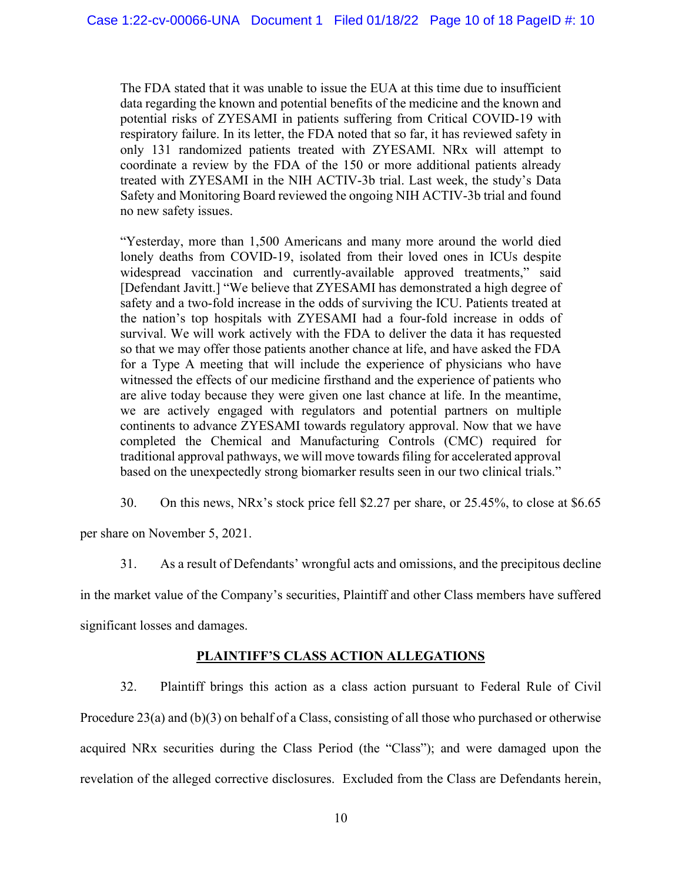The FDA stated that it was unable to issue the EUA at this time due to insufficient data regarding the known and potential benefits of the medicine and the known and potential risks of ZYESAMI in patients suffering from Critical COVID-19 with respiratory failure. In its letter, the FDA noted that so far, it has reviewed safety in only 131 randomized patients treated with ZYESAMI. NRx will attempt to coordinate a review by the FDA of the 150 or more additional patients already treated with ZYESAMI in the NIH ACTIV-3b trial. Last week, the study's Data Safety and Monitoring Board reviewed the ongoing NIH ACTIV-3b trial and found no new safety issues.

"Yesterday, more than 1,500 Americans and many more around the world died lonely deaths from COVID-19, isolated from their loved ones in ICUs despite widespread vaccination and currently-available approved treatments," said [Defendant Javitt.] "We believe that ZYESAMI has demonstrated a high degree of safety and a two-fold increase in the odds of surviving the ICU. Patients treated at the nation's top hospitals with ZYESAMI had a four-fold increase in odds of survival. We will work actively with the FDA to deliver the data it has requested so that we may offer those patients another chance at life, and have asked the FDA for a Type A meeting that will include the experience of physicians who have witnessed the effects of our medicine firsthand and the experience of patients who are alive today because they were given one last chance at life. In the meantime, we are actively engaged with regulators and potential partners on multiple continents to advance ZYESAMI towards regulatory approval. Now that we have completed the Chemical and Manufacturing Controls (CMC) required for traditional approval pathways, we will move towards filing for accelerated approval based on the unexpectedly strong biomarker results seen in our two clinical trials."

30. On this news, NRx's stock price fell \$2.27 per share, or 25.45%, to close at \$6.65

per share on November 5, 2021.

31. As a result of Defendants' wrongful acts and omissions, and the precipitous decline in the market value of the Company's securities, Plaintiff and other Class members have suffered significant losses and damages.

# **PLAINTIFF'S CLASS ACTION ALLEGATIONS**

32. Plaintiff brings this action as a class action pursuant to Federal Rule of Civil Procedure 23(a) and (b)(3) on behalf of a Class, consisting of all those who purchased or otherwise acquired NRx securities during the Class Period (the "Class"); and were damaged upon the revelation of the alleged corrective disclosures. Excluded from the Class are Defendants herein,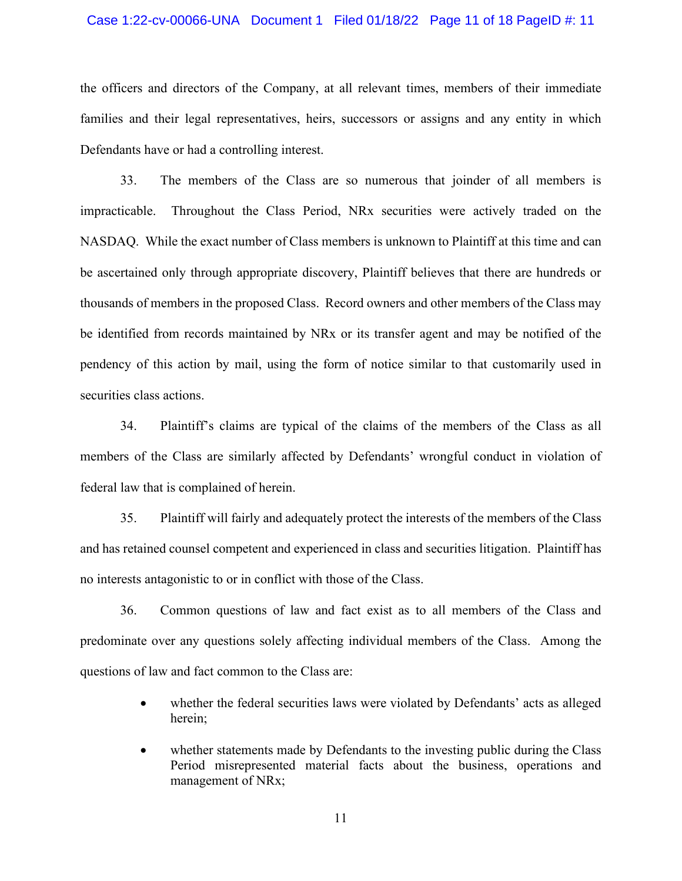#### Case 1:22-cv-00066-UNA Document 1 Filed 01/18/22 Page 11 of 18 PageID #: 11

the officers and directors of the Company, at all relevant times, members of their immediate families and their legal representatives, heirs, successors or assigns and any entity in which Defendants have or had a controlling interest.

33. The members of the Class are so numerous that joinder of all members is impracticable. Throughout the Class Period, NRx securities were actively traded on the NASDAQ. While the exact number of Class members is unknown to Plaintiff at this time and can be ascertained only through appropriate discovery, Plaintiff believes that there are hundreds or thousands of members in the proposed Class. Record owners and other members of the Class may be identified from records maintained by NRx or its transfer agent and may be notified of the pendency of this action by mail, using the form of notice similar to that customarily used in securities class actions.

34. Plaintiff's claims are typical of the claims of the members of the Class as all members of the Class are similarly affected by Defendants' wrongful conduct in violation of federal law that is complained of herein.

35. Plaintiff will fairly and adequately protect the interests of the members of the Class and has retained counsel competent and experienced in class and securities litigation. Plaintiff has no interests antagonistic to or in conflict with those of the Class.

36. Common questions of law and fact exist as to all members of the Class and predominate over any questions solely affecting individual members of the Class. Among the questions of law and fact common to the Class are:

- whether the federal securities laws were violated by Defendants' acts as alleged herein;
- whether statements made by Defendants to the investing public during the Class Period misrepresented material facts about the business, operations and management of NRx;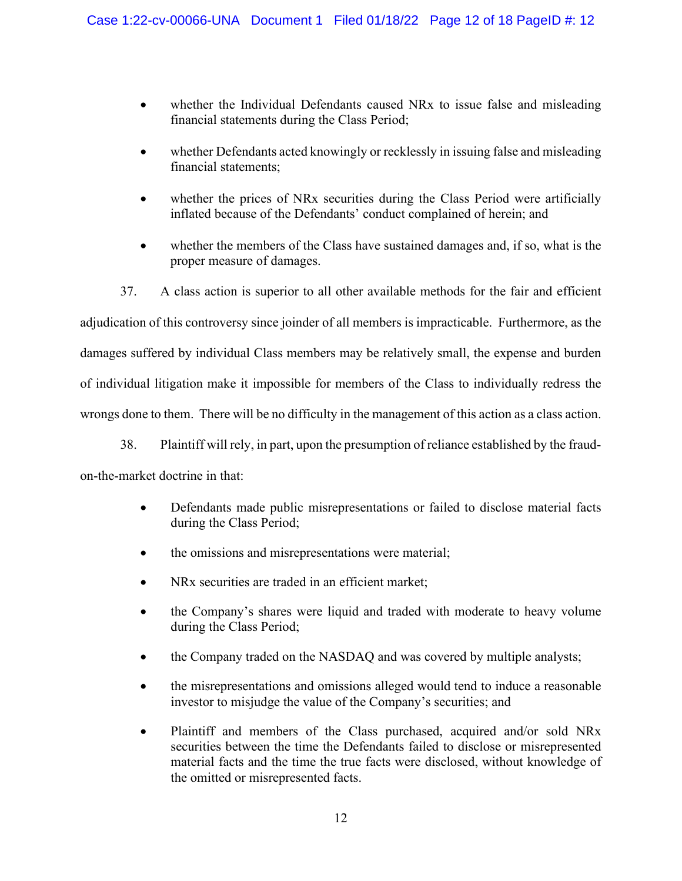- whether the Individual Defendants caused NRx to issue false and misleading financial statements during the Class Period;
- whether Defendants acted knowingly or recklessly in issuing false and misleading financial statements;
- whether the prices of NRx securities during the Class Period were artificially inflated because of the Defendants' conduct complained of herein; and
- whether the members of the Class have sustained damages and, if so, what is the proper measure of damages.

37. A class action is superior to all other available methods for the fair and efficient adjudication of this controversy since joinder of all members is impracticable. Furthermore, as the damages suffered by individual Class members may be relatively small, the expense and burden of individual litigation make it impossible for members of the Class to individually redress the wrongs done to them. There will be no difficulty in the management of this action as a class action.

38. Plaintiff will rely, in part, upon the presumption of reliance established by the fraudon-the-market doctrine in that:

- Defendants made public misrepresentations or failed to disclose material facts during the Class Period;
- the omissions and misrepresentations were material;
- NRx securities are traded in an efficient market;
- the Company's shares were liquid and traded with moderate to heavy volume during the Class Period;
- the Company traded on the NASDAQ and was covered by multiple analysts;
- the misrepresentations and omissions alleged would tend to induce a reasonable investor to misjudge the value of the Company's securities; and
- Plaintiff and members of the Class purchased, acquired and/or sold NRx securities between the time the Defendants failed to disclose or misrepresented material facts and the time the true facts were disclosed, without knowledge of the omitted or misrepresented facts.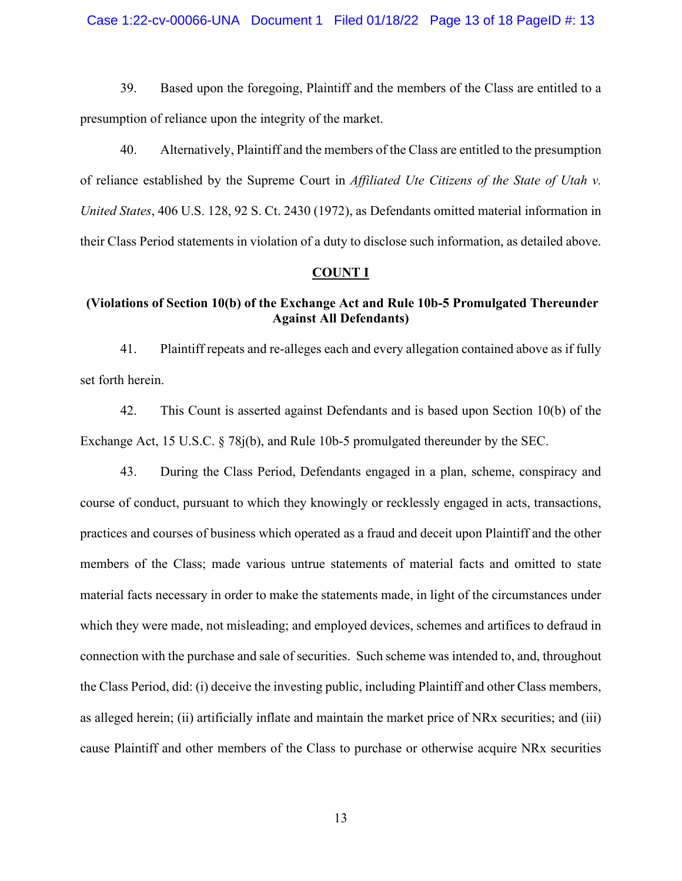#### Case 1:22-cv-00066-UNA Document 1 Filed 01/18/22 Page 13 of 18 PageID #: 13

39. Based upon the foregoing, Plaintiff and the members of the Class are entitled to a presumption of reliance upon the integrity of the market.

40. Alternatively, Plaintiff and the members of the Class are entitled to the presumption of reliance established by the Supreme Court in *Affiliated Ute Citizens of the State of Utah v. United States*, 406 U.S. 128, 92 S. Ct. 2430 (1972), as Defendants omitted material information in their Class Period statements in violation of a duty to disclose such information, as detailed above.

#### **COUNT I**

# **(Violations of Section 10(b) of the Exchange Act and Rule 10b-5 Promulgated Thereunder Against All Defendants)**

41. Plaintiff repeats and re-alleges each and every allegation contained above as if fully set forth herein.

42. This Count is asserted against Defendants and is based upon Section 10(b) of the Exchange Act, 15 U.S.C. § 78j(b), and Rule 10b-5 promulgated thereunder by the SEC.

43. During the Class Period, Defendants engaged in a plan, scheme, conspiracy and course of conduct, pursuant to which they knowingly or recklessly engaged in acts, transactions, practices and courses of business which operated as a fraud and deceit upon Plaintiff and the other members of the Class; made various untrue statements of material facts and omitted to state material facts necessary in order to make the statements made, in light of the circumstances under which they were made, not misleading; and employed devices, schemes and artifices to defraud in connection with the purchase and sale of securities. Such scheme was intended to, and, throughout the Class Period, did: (i) deceive the investing public, including Plaintiff and other Class members, as alleged herein; (ii) artificially inflate and maintain the market price of NRx securities; and (iii) cause Plaintiff and other members of the Class to purchase or otherwise acquire NRx securities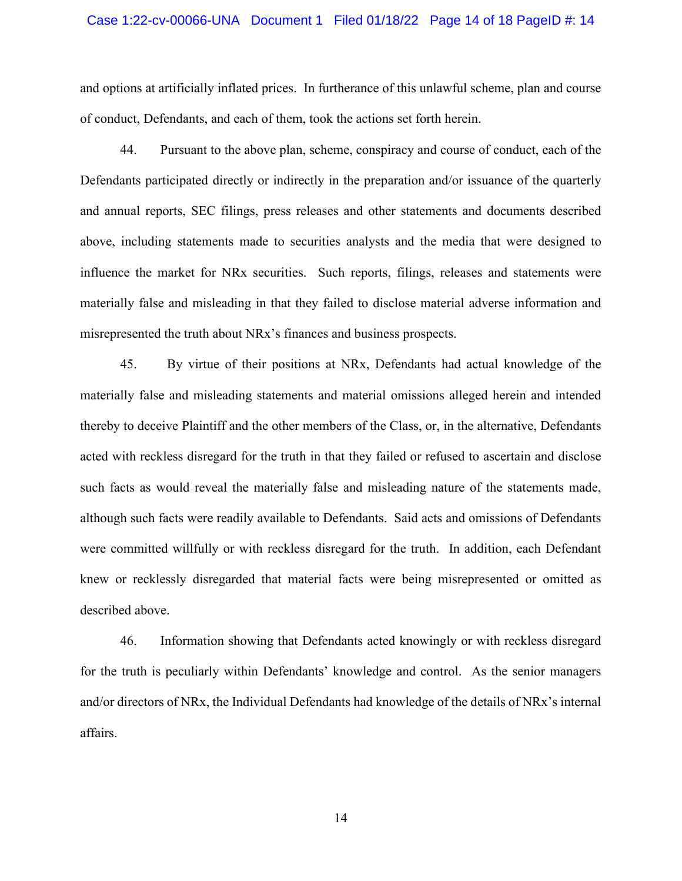#### Case 1:22-cv-00066-UNA Document 1 Filed 01/18/22 Page 14 of 18 PageID #: 14

and options at artificially inflated prices. In furtherance of this unlawful scheme, plan and course of conduct, Defendants, and each of them, took the actions set forth herein.

44. Pursuant to the above plan, scheme, conspiracy and course of conduct, each of the Defendants participated directly or indirectly in the preparation and/or issuance of the quarterly and annual reports, SEC filings, press releases and other statements and documents described above, including statements made to securities analysts and the media that were designed to influence the market for NRx securities. Such reports, filings, releases and statements were materially false and misleading in that they failed to disclose material adverse information and misrepresented the truth about NRx's finances and business prospects.

45. By virtue of their positions at NRx, Defendants had actual knowledge of the materially false and misleading statements and material omissions alleged herein and intended thereby to deceive Plaintiff and the other members of the Class, or, in the alternative, Defendants acted with reckless disregard for the truth in that they failed or refused to ascertain and disclose such facts as would reveal the materially false and misleading nature of the statements made, although such facts were readily available to Defendants. Said acts and omissions of Defendants were committed willfully or with reckless disregard for the truth. In addition, each Defendant knew or recklessly disregarded that material facts were being misrepresented or omitted as described above.

46. Information showing that Defendants acted knowingly or with reckless disregard for the truth is peculiarly within Defendants' knowledge and control. As the senior managers and/or directors of NRx, the Individual Defendants had knowledge of the details of NRx's internal affairs.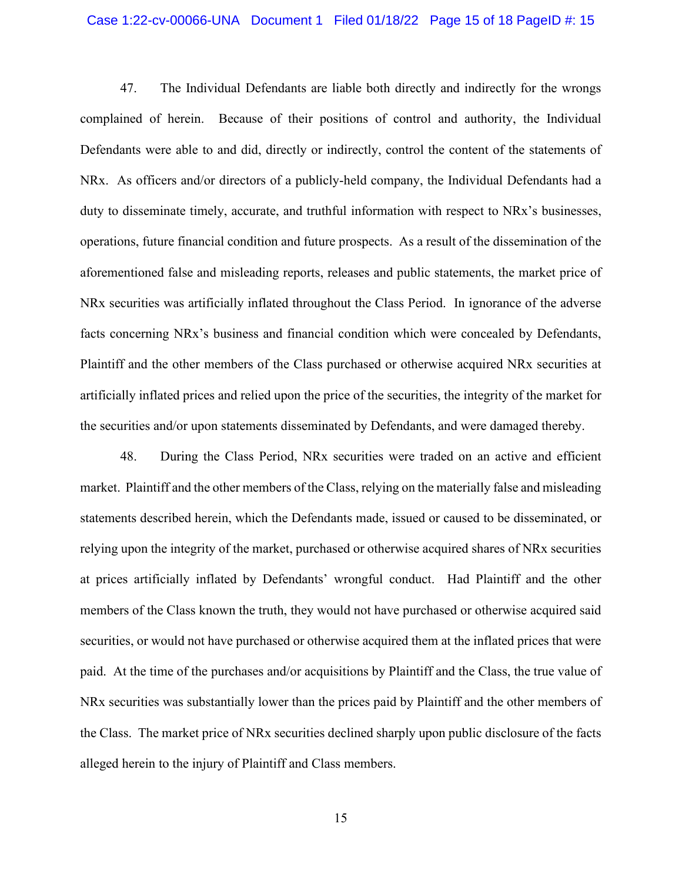#### Case 1:22-cv-00066-UNA Document 1 Filed 01/18/22 Page 15 of 18 PageID #: 15

47. The Individual Defendants are liable both directly and indirectly for the wrongs complained of herein. Because of their positions of control and authority, the Individual Defendants were able to and did, directly or indirectly, control the content of the statements of NRx. As officers and/or directors of a publicly-held company, the Individual Defendants had a duty to disseminate timely, accurate, and truthful information with respect to NRx's businesses, operations, future financial condition and future prospects. As a result of the dissemination of the aforementioned false and misleading reports, releases and public statements, the market price of NRx securities was artificially inflated throughout the Class Period. In ignorance of the adverse facts concerning NRx's business and financial condition which were concealed by Defendants, Plaintiff and the other members of the Class purchased or otherwise acquired NRx securities at artificially inflated prices and relied upon the price of the securities, the integrity of the market for the securities and/or upon statements disseminated by Defendants, and were damaged thereby.

48. During the Class Period, NRx securities were traded on an active and efficient market. Plaintiff and the other members of the Class, relying on the materially false and misleading statements described herein, which the Defendants made, issued or caused to be disseminated, or relying upon the integrity of the market, purchased or otherwise acquired shares of NRx securities at prices artificially inflated by Defendants' wrongful conduct. Had Plaintiff and the other members of the Class known the truth, they would not have purchased or otherwise acquired said securities, or would not have purchased or otherwise acquired them at the inflated prices that were paid. At the time of the purchases and/or acquisitions by Plaintiff and the Class, the true value of NRx securities was substantially lower than the prices paid by Plaintiff and the other members of the Class. The market price of NRx securities declined sharply upon public disclosure of the facts alleged herein to the injury of Plaintiff and Class members.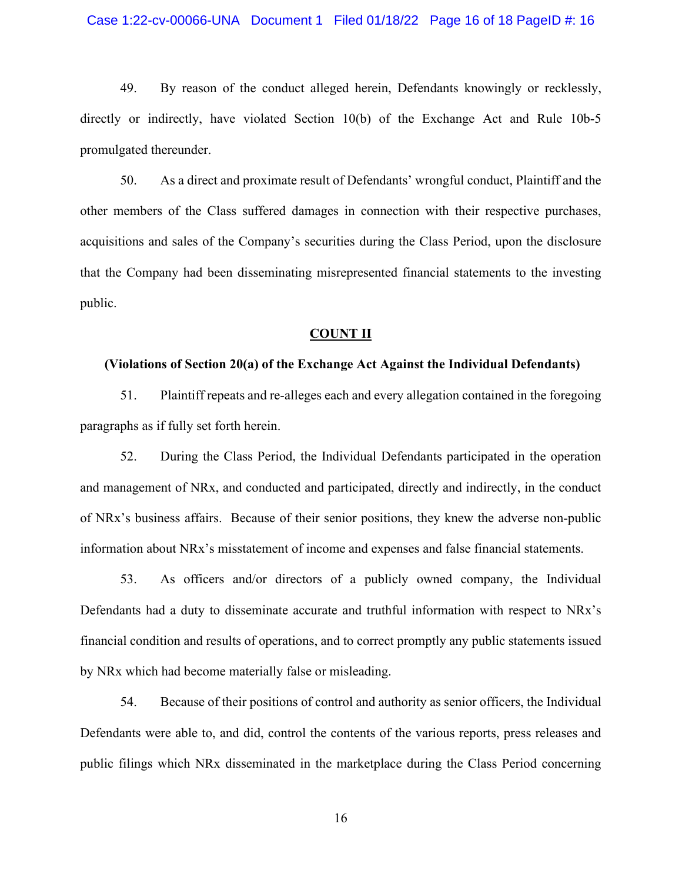#### Case 1:22-cv-00066-UNA Document 1 Filed 01/18/22 Page 16 of 18 PageID #: 16

49. By reason of the conduct alleged herein, Defendants knowingly or recklessly, directly or indirectly, have violated Section 10(b) of the Exchange Act and Rule 10b-5 promulgated thereunder.

50. As a direct and proximate result of Defendants' wrongful conduct, Plaintiff and the other members of the Class suffered damages in connection with their respective purchases, acquisitions and sales of the Company's securities during the Class Period, upon the disclosure that the Company had been disseminating misrepresented financial statements to the investing public.

#### **COUNT II**

#### **(Violations of Section 20(a) of the Exchange Act Against the Individual Defendants)**

51. Plaintiff repeats and re-alleges each and every allegation contained in the foregoing paragraphs as if fully set forth herein.

52. During the Class Period, the Individual Defendants participated in the operation and management of NRx, and conducted and participated, directly and indirectly, in the conduct of NRx's business affairs. Because of their senior positions, they knew the adverse non-public information about NRx's misstatement of income and expenses and false financial statements.

53. As officers and/or directors of a publicly owned company, the Individual Defendants had a duty to disseminate accurate and truthful information with respect to NRx's financial condition and results of operations, and to correct promptly any public statements issued by NRx which had become materially false or misleading.

54. Because of their positions of control and authority as senior officers, the Individual Defendants were able to, and did, control the contents of the various reports, press releases and public filings which NRx disseminated in the marketplace during the Class Period concerning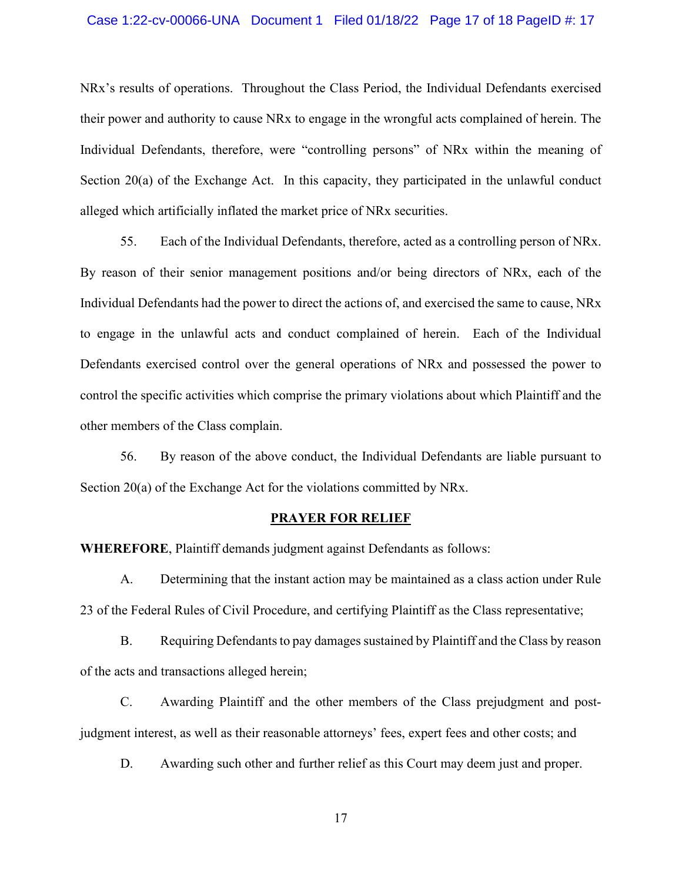#### Case 1:22-cv-00066-UNA Document 1 Filed 01/18/22 Page 17 of 18 PageID #: 17

NRx's results of operations. Throughout the Class Period, the Individual Defendants exercised their power and authority to cause NRx to engage in the wrongful acts complained of herein. The Individual Defendants, therefore, were "controlling persons" of NRx within the meaning of Section 20(a) of the Exchange Act. In this capacity, they participated in the unlawful conduct alleged which artificially inflated the market price of NRx securities.

55. Each of the Individual Defendants, therefore, acted as a controlling person of NRx. By reason of their senior management positions and/or being directors of NRx, each of the Individual Defendants had the power to direct the actions of, and exercised the same to cause, NRx to engage in the unlawful acts and conduct complained of herein. Each of the Individual Defendants exercised control over the general operations of NRx and possessed the power to control the specific activities which comprise the primary violations about which Plaintiff and the other members of the Class complain.

56. By reason of the above conduct, the Individual Defendants are liable pursuant to Section 20(a) of the Exchange Act for the violations committed by NRx.

#### **PRAYER FOR RELIEF**

**WHEREFORE**, Plaintiff demands judgment against Defendants as follows:

A. Determining that the instant action may be maintained as a class action under Rule 23 of the Federal Rules of Civil Procedure, and certifying Plaintiff as the Class representative;

B. Requiring Defendants to pay damages sustained by Plaintiff and the Class by reason of the acts and transactions alleged herein;

C. Awarding Plaintiff and the other members of the Class prejudgment and postjudgment interest, as well as their reasonable attorneys' fees, expert fees and other costs; and

D. Awarding such other and further relief as this Court may deem just and proper.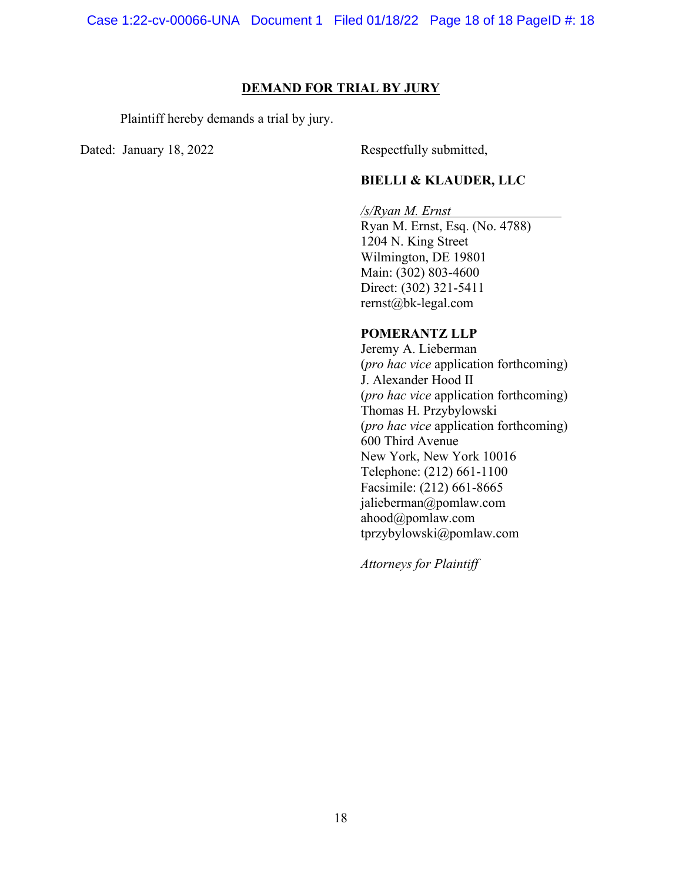#### **DEMAND FOR TRIAL BY JURY**

Plaintiff hereby demands a trial by jury.

Dated: January 18, 2022 Respectfully submitted,

### **BIELLI & KLAUDER, LLC**

## */s/Ryan M. Ernst*

Ryan M. Ernst, Esq. (No. 4788) 1204 N. King Street Wilmington, DE 19801 Main: (302) 803-4600 Direct: (302) 321-5411 rernst@bk-legal.com

# **POMERANTZ LLP**

Jeremy A. Lieberman (*pro hac vice* application forthcoming) J. Alexander Hood II (*pro hac vice* application forthcoming) Thomas H. Przybylowski (*pro hac vice* application forthcoming) 600 Third Avenue New York, New York 10016 Telephone: (212) 661-1100 Facsimile: (212) 661-8665 jalieberman@pomlaw.com ahood@pomlaw.com tprzybylowski@pomlaw.com

*Attorneys for Plaintiff*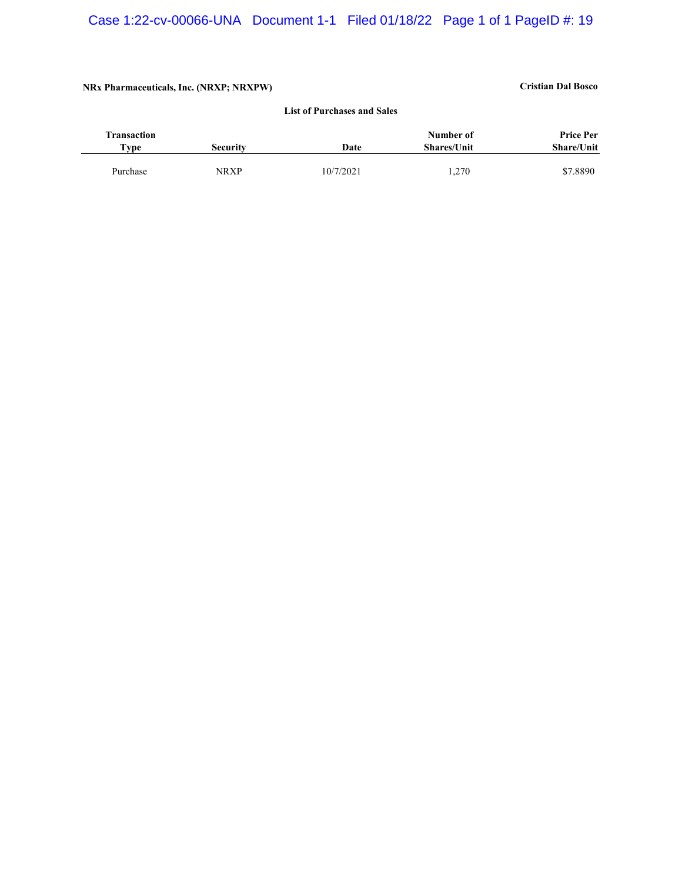#### **NRx Pharmaceuticals, Inc. (NRXP; NRXPW) Cristian Dal Bosco**

# **List of Purchases and Sales**

| <b>Transaction</b> |             |           | Number of          | <b>Price Per</b>  |
|--------------------|-------------|-----------|--------------------|-------------------|
| T <sub>VP</sub>    | Securitv    | Date      | <b>Shares/Unit</b> | <b>Share/Unit</b> |
|                    |             |           |                    |                   |
| Purchase           | <b>NRXP</b> | 10/7/2021 | 1,270              | \$7.8890          |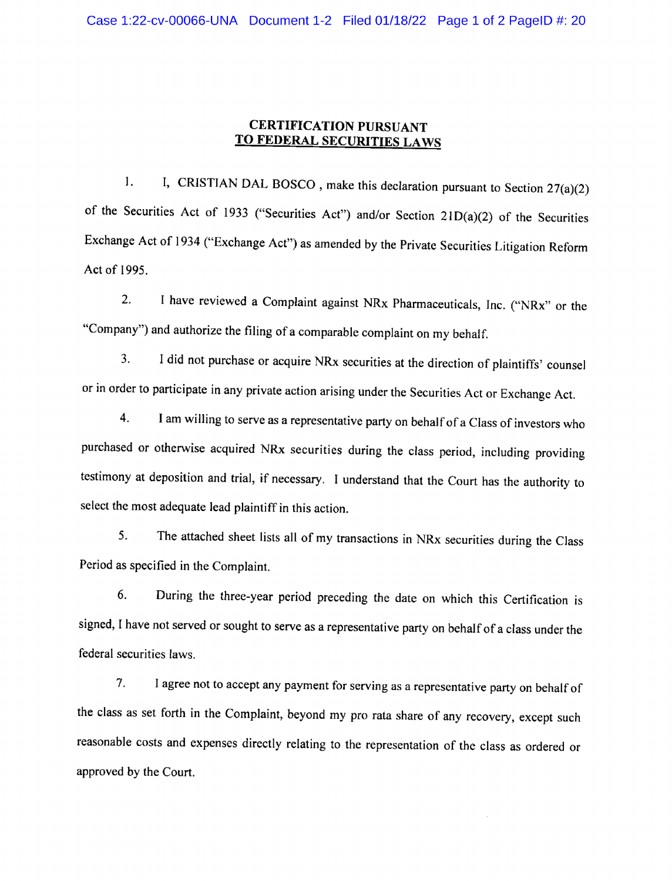# CERTIFICATION PURSUANT TO FEDERAL SECURITIES LAWS

I, CRISTIAN DAL BOSCO, make this declaration pursuant to Section 27(a)(2)  $\mathbf{1}$ . of the Securities Act of <sup>1933</sup> ("Securities Act") and/or Section 21D(a)(2) of the Securities Exchange Act of <sup>1934</sup> ("Exchange Act") as amended by the Private Securities Litigation Reform Act of 1995.

2. <sup>I</sup> have reviewed <sup>a</sup> Complaint against NRx Pharmaceuticals, Inc. ("NRx" or the "Company") and authorize the filing of <sup>a</sup> comparable complaint on my behalf.

3. I did not purchase or acquire NRx securities at the direction of plaintiffs' counsel or in order to participate in any private action arising under the Securities Act or Exchange Act.

4. I am willing to serve as <sup>a</sup> representative party on behalfof <sup>a</sup> Class of investors who purchased or otherwise acquired NRx securities during the class period, including providing testimony at deposition and trial, if necessary. <sup>I</sup> understand that the Court has the authority to select the most adequate lead plaintiff in this action.

5. The attached sheet lists all of my transactions in NRx securities during the Class Period as specified in the Complaint.

6. During the three-year period preceding the date on which this Certification is signed, I have not served or sought to serve as <sup>a</sup> representative party on behalf of <sup>a</sup> class under the federal securities laws.

7. I agree not to accept any payment for serving as <sup>a</sup> representative party on behalf of the class as set forth in the Complaint, beyond my pro rata share of any recovery, except such reasonable costs and expenses directly relating to the representation of the class as ordered or approved by the Court.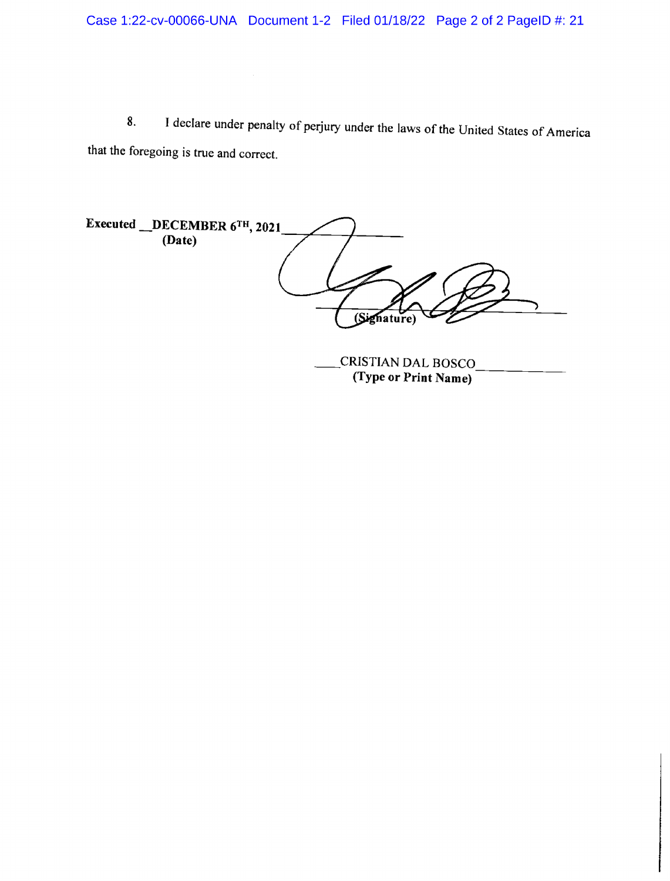8. I declare under penalty of perjury under the laws of the United States of America that the foregoing is true and correct.

Executed \_DECEMBER 6TH, 2021 (Date)  $\mathbb{Z}$ (Signature)

CRISTIAN DAL BOSCO (Type or Print Name)